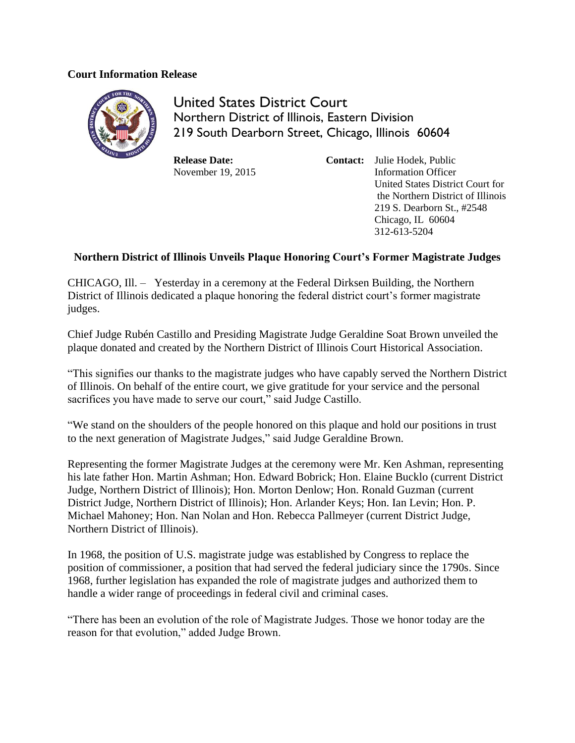## **Court Information Release**



United States District Court Northern District of Illinois, Eastern Division 219 South Dearborn Street, Chicago, Illinois 60604

**Release Date:** November 19, 2015 **Contact:** Julie Hodek, Public Information Officer United States District Court for the Northern District of Illinois 219 S. Dearborn St., #2548 Chicago, IL 60604 312-613-5204

## **Northern District of Illinois Unveils Plaque Honoring Court's Former Magistrate Judges**

CHICAGO, Ill. – Yesterday in a ceremony at the Federal Dirksen Building, the Northern District of Illinois dedicated a plaque honoring the federal district court's former magistrate judges.

Chief Judge Rubén Castillo and Presiding Magistrate Judge Geraldine Soat Brown unveiled the plaque donated and created by the Northern District of Illinois Court Historical Association.

"This signifies our thanks to the magistrate judges who have capably served the Northern District of Illinois. On behalf of the entire court, we give gratitude for your service and the personal sacrifices you have made to serve our court," said Judge Castillo.

"We stand on the shoulders of the people honored on this plaque and hold our positions in trust to the next generation of Magistrate Judges," said Judge Geraldine Brown.

Representing the former Magistrate Judges at the ceremony were Mr. Ken Ashman, representing his late father Hon. Martin Ashman; Hon. Edward Bobrick; Hon. Elaine Bucklo (current District Judge, Northern District of Illinois); Hon. Morton Denlow; Hon. Ronald Guzman (current District Judge, Northern District of Illinois); Hon. Arlander Keys; Hon. Ian Levin; Hon. P. Michael Mahoney; Hon. Nan Nolan and Hon. Rebecca Pallmeyer (current District Judge, Northern District of Illinois).

In 1968, the position of U.S. magistrate judge was established by Congress to replace the position of commissioner, a position that had served the federal judiciary since the 1790s. Since 1968, further legislation has expanded the role of magistrate judges and authorized them to handle a wider range of proceedings in federal civil and criminal cases.

"There has been an evolution of the role of Magistrate Judges. Those we honor today are the reason for that evolution," added Judge Brown.